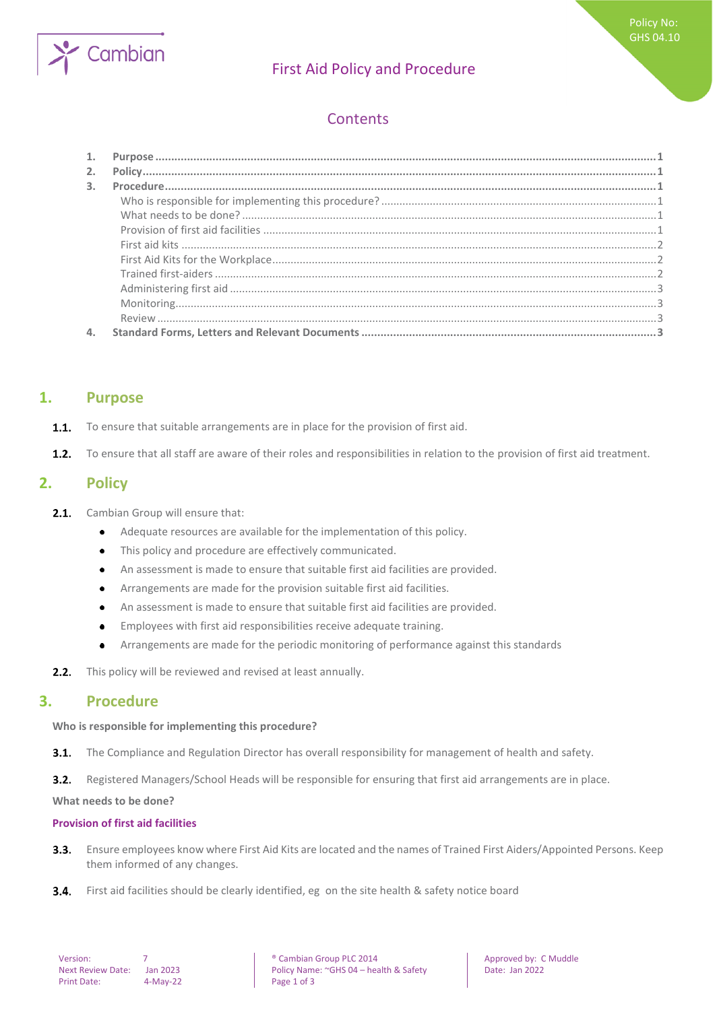

# First Aid Policy and Procedure

# **Contents**

| 2.             |  |
|----------------|--|
| $\mathbf{3}$ . |  |
|                |  |
|                |  |
|                |  |
|                |  |
|                |  |
|                |  |
|                |  |
|                |  |
|                |  |
|                |  |

## <span id="page-0-0"></span>**1. Purpose**

- To ensure that suitable arrangements are in place for the provision of first aid.  $1.1.$
- <span id="page-0-1"></span> $1.2.$ To ensure that all staff are aware of their roles and responsibilities in relation to the provision of first aid treatment.

## **2. Policy**

- $2.1.$ Cambian Group will ensure that:
	- Adequate resources are available for the implementation of this policy.  $\bullet$
	- This policy and procedure are effectively communicated.  $\bullet$
	- An assessment is made to ensure that suitable first aid facilities are provided.  $\bullet$
	- Arrangements are made for the provision suitable first aid facilities.  $\bullet$
	- An assessment is made to ensure that suitable first aid facilities are provided.  $\bullet$
	- Employees with first aid responsibilities receive adequate training.  $\bullet$
	- Arrangements are made for the periodic monitoring of performance against this standards  $\bullet$
- <span id="page-0-2"></span>This policy will be reviewed and revised at least annually.  $2.2.$

## **3. Procedure**

#### <span id="page-0-3"></span>**Who is responsible for implementing this procedure?**

 $3.1.$ The Compliance and Regulation Director has overall responsibility for management of health and safety.

 $3.2.$ Registered Managers/School Heads will be responsible for ensuring that first aid arrangements are in place.

<span id="page-0-4"></span>**What needs to be done?**

#### <span id="page-0-5"></span>**Provision of first aid facilities**

- Ensure employees know where First Aid Kits are located and the names of Trained First Aiders/Appointed Persons. Keep  $3.3.$ them informed of any changes.
- $3.4.$ First aid facilities should be clearly identified, eg on the site health & safety notice board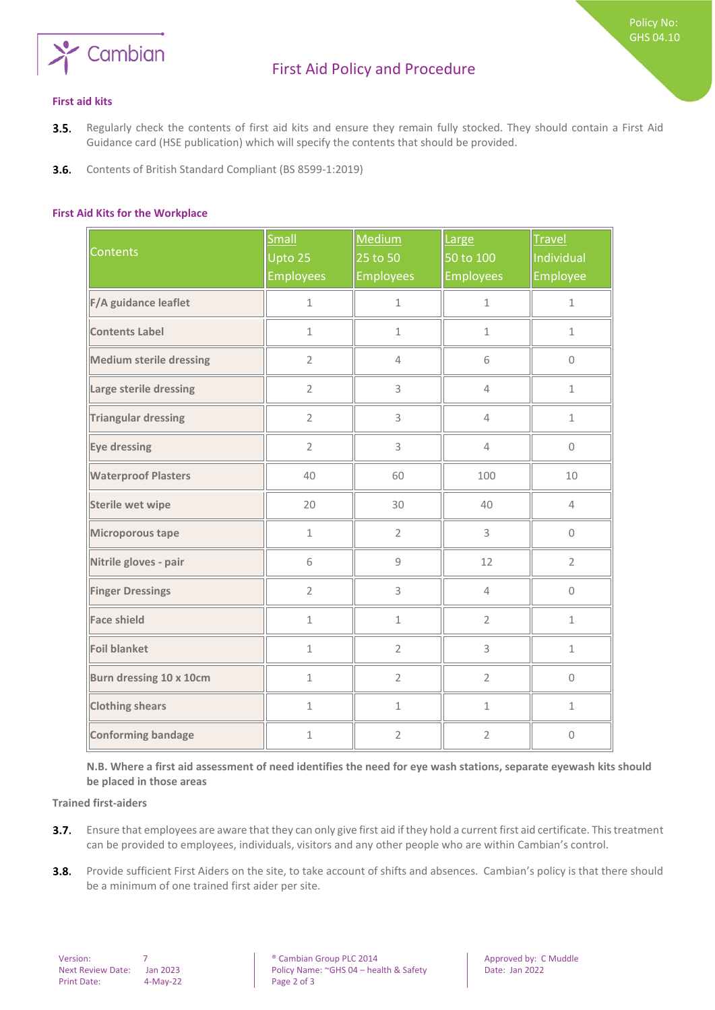

Policy No: GHS 04.10

- <span id="page-1-0"></span>Regularly check the contents of first aid kits and ensure they remain fully stocked. They should contain a First Aid  $3.5.$ Guidance card (HSE publication) which will specify the contents that should be provided.
- <span id="page-1-1"></span> $3.6.$ Contents of British Standard Compliant (BS 8599-1:2019)

#### **First Aid Kits for the Workplace**

| <b>Contents</b>                | <b>Small</b><br>Upto 25<br><b>Employees</b> | Medium<br>25 to 50<br><b>Employees</b> | Large<br>50 to 100<br><b>Employees</b> | <b>Travel</b><br>Individual<br>Employee |
|--------------------------------|---------------------------------------------|----------------------------------------|----------------------------------------|-----------------------------------------|
| F/A guidance leaflet           | $\mathbf 1$                                 | $\mathbf 1$                            | $\mathbf{1}$                           | $\mathbf{1}$                            |
| <b>Contents Label</b>          | $\mathbf{1}$                                | $\mathbf{1}$                           | $\mathbf 1$                            | $\mathbf{1}$                            |
| <b>Medium sterile dressing</b> | $\overline{2}$                              | $\overline{4}$                         | 6                                      | $\Omega$                                |
| Large sterile dressing         | $\overline{2}$                              | 3                                      | $\overline{4}$                         | $\mathbf{1}$                            |
| <b>Triangular dressing</b>     | $\overline{2}$                              | 3                                      | $\overline{4}$                         | $\mathbf 1$                             |
| Eye dressing                   | $\overline{2}$                              | 3                                      | $\overline{4}$                         | $\mathsf{O}\xspace$                     |
| <b>Waterproof Plasters</b>     | 40                                          | 60                                     | 100                                    | 10                                      |
| <b>Sterile wet wipe</b>        | 20                                          | 30                                     | 40                                     | $\overline{4}$                          |
| Microporous tape               | $\mathbf{1}$                                | $\overline{2}$                         | 3                                      | 0                                       |
| Nitrile gloves - pair          | 6                                           | 9                                      | 12                                     | $\overline{2}$                          |
| <b>Finger Dressings</b>        | $\overline{2}$                              | 3                                      | $\overline{4}$                         | $\mathbf 0$                             |
| <b>Face shield</b>             | $\mathbf{1}$                                | $\mathbf 1$                            | $\overline{2}$                         | $\mathbf{1}$                            |
| <b>Foil blanket</b>            | $\mathbf 1$                                 | $\overline{2}$                         | 3                                      | $\mathbf 1$                             |
| Burn dressing 10 x 10cm        | $\mathbf 1$                                 | $\overline{2}$                         | $\overline{2}$                         | $\mathsf{O}\xspace$                     |
| <b>Clothing shears</b>         | $\mathbf{1}$                                | $\mathbf{1}$                           | $\mathbf{1}$                           | $\mathbf{1}$                            |
| <b>Conforming bandage</b>      | $\mathbf 1$                                 | $\overline{2}$                         | $\overline{2}$                         | $\mathbf 0$                             |

<span id="page-1-2"></span>**N.B. Where a first aid assessment of need identifies the need for eye wash stations, separate eyewash kits should be placed in those areas** 

**Trained first-aiders**

- Ensure that employees are aware that they can only give first aid if they hold a current first aid certificate. This treatment  $3.7.$ can be provided to employees, individuals, visitors and any other people who are within Cambian's control.
- $3.8.$ Provide sufficient First Aiders on the site, to take account of shifts and absences. Cambian's policy is that there should be a minimum of one trained first aider per site.